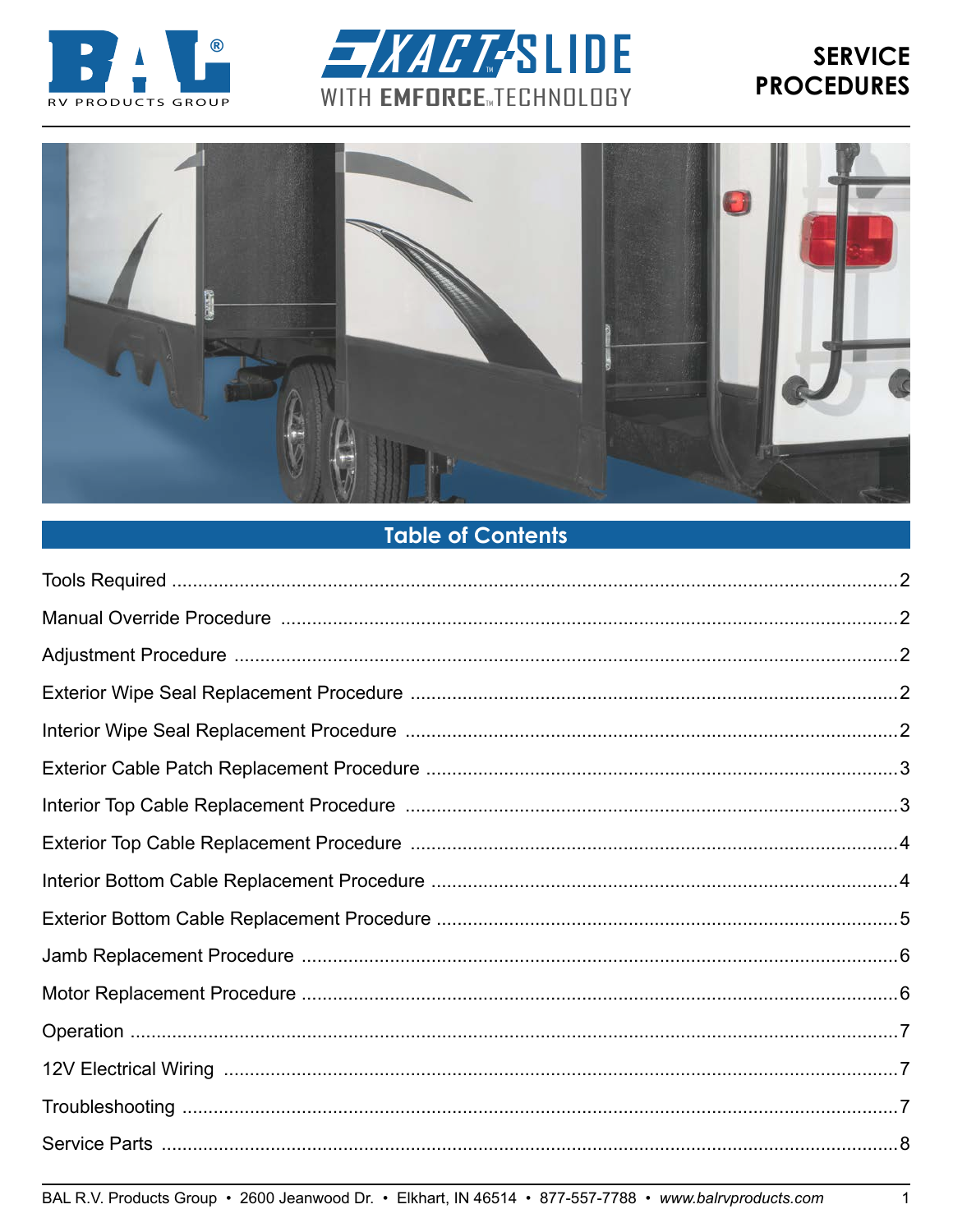





# **Table of Contents**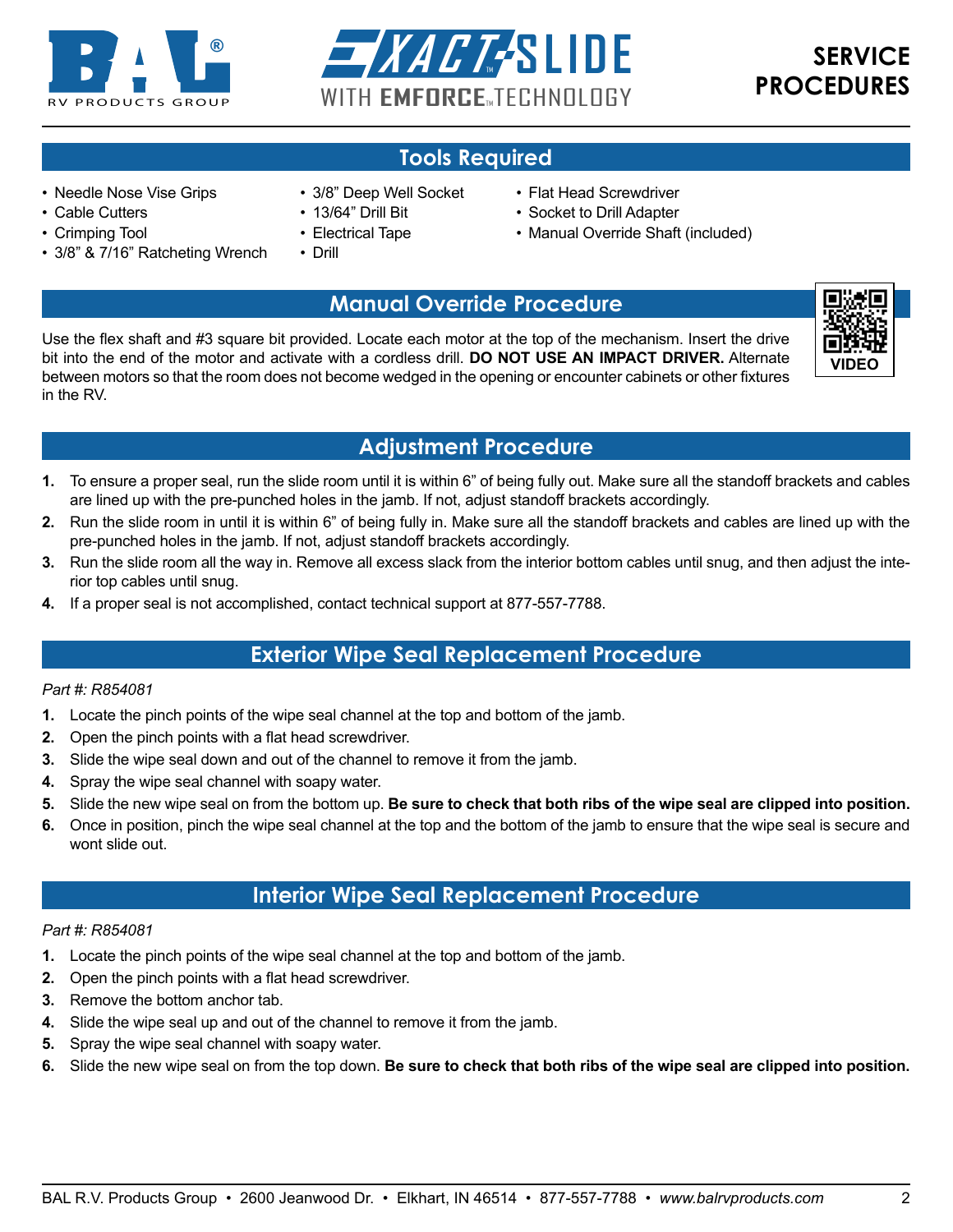<span id="page-1-0"></span>



## **Tools Required**

- Needle Nose Vise Grips
- Cable Cutters
- Crimping Tool
- 3/8" & 7/16" Ratcheting Wrench
- 3/8" Deep Well Socket
- 13/64" Drill Bit
- Electrical Tape
- Drill
- Flat Head Screwdriver
- Socket to Drill Adapter
- Manual Override Shaft (included)

## **Manual Override Procedure**

Use the flex shaft and #3 square bit provided. Locate each motor at the top of the mechanism. Insert the drive bit into the end of the motor and activate with a cordless drill. **DO NOT USE AN IMPACT DRIVER.** Alternate between motors so that the room does not become wedged in the opening or encounter cabinets or other fixtures in the RV.



## **Adjustment Procedure**

- **1.** To ensure a proper seal, run the slide room until it is within 6" of being fully out. Make sure all the standoff brackets and cables are lined up with the pre-punched holes in the jamb. If not, adjust standoff brackets accordingly.
- **2.** Run the slide room in until it is within 6" of being fully in. Make sure all the standoff brackets and cables are lined up with the pre-punched holes in the jamb. If not, adjust standoff brackets accordingly.
- **3.** Run the slide room all the way in. Remove all excess slack from the interior bottom cables until snug, and then adjust the interior top cables until snug.
- **4.** If a proper seal is not accomplished, contact technical support at 877-557-7788.

## **Exterior Wipe Seal Replacement Procedure**

#### *Part #: R854081*

- **1.** Locate the pinch points of the wipe seal channel at the top and bottom of the jamb.
- **2.** Open the pinch points with a flat head screwdriver.
- **3.** Slide the wipe seal down and out of the channel to remove it from the jamb.
- **4.** Spray the wipe seal channel with soapy water.
- **5.** Slide the new wipe seal on from the bottom up. **Be sure to check that both ribs of the wipe seal are clipped into position.**
- **6.** Once in position, pinch the wipe seal channel at the top and the bottom of the jamb to ensure that the wipe seal is secure and wont slide out.

## **Interior Wipe Seal Replacement Procedure**

#### *Part #: R854081*

- **1.** Locate the pinch points of the wipe seal channel at the top and bottom of the jamb.
- **2.** Open the pinch points with a flat head screwdriver.
- **3.** Remove the bottom anchor tab.
- **4.** Slide the wipe seal up and out of the channel to remove it from the jamb.
- **5.** Spray the wipe seal channel with soapy water.
- **6.** Slide the new wipe seal on from the top down. **Be sure to check that both ribs of the wipe seal are clipped into position.**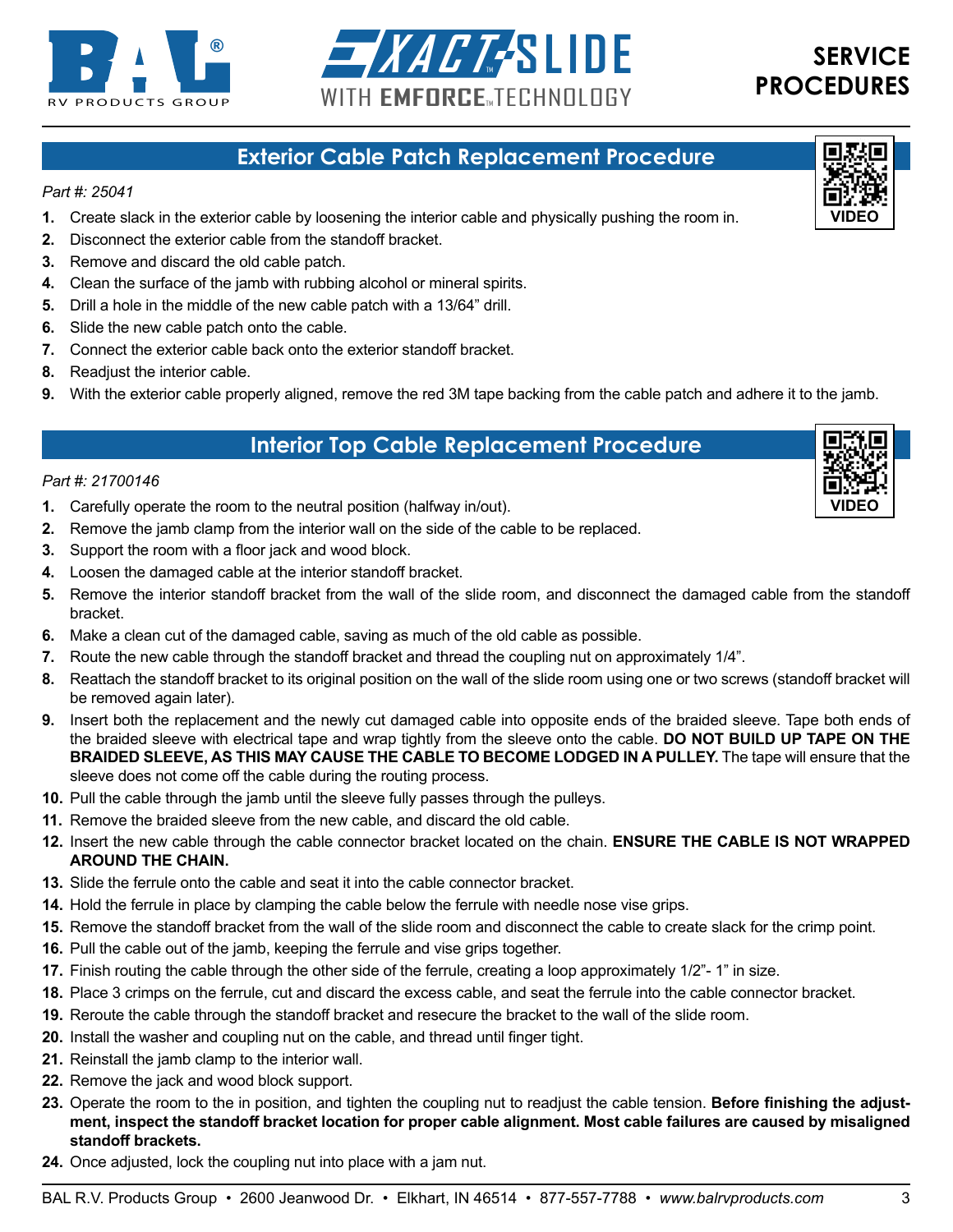<span id="page-2-0"></span>



**[VIDEO](https://youtu.be/ow48YvriOIQ)**

G

### **Exterior Cable Patch Replacement Procedure**

#### *Part #: 25041*

- **1.** Create slack in the exterior cable by loosening the interior cable and physically pushing the room in.
- **2.** Disconnect the exterior cable from the standoff bracket.
- **3.** Remove and discard the old cable patch.
- **4.** Clean the surface of the jamb with rubbing alcohol or mineral spirits.
- **5.** Drill a hole in the middle of the new cable patch with a 13/64" drill.
- **6.** Slide the new cable patch onto the cable.
- **7.** Connect the exterior cable back onto the exterior standoff bracket.
- **8.** Readjust the interior cable.
- **9.** With the exterior cable properly aligned, remove the red 3M tape backing from the cable patch and adhere it to the jamb.

### **Interior Top Cable Replacement Procedure**

#### *Part #: 21700146*

- **1.** Carefully operate the room to the neutral position (halfway in/out).
- **2.** Remove the jamb clamp from the interior wall on the side of the cable to be replaced.
- **3.** Support the room with a floor jack and wood block.
- **4.** Loosen the damaged cable at the interior standoff bracket.
- **5.** Remove the interior standoff bracket from the wall of the slide room, and disconnect the damaged cable from the standoff bracket.
- **6.** Make a clean cut of the damaged cable, saving as much of the old cable as possible.
- **7.** Route the new cable through the standoff bracket and thread the coupling nut on approximately 1/4".
- **8.** Reattach the standoff bracket to its original position on the wall of the slide room using one or two screws (standoff bracket will be removed again later).
- **9.** Insert both the replacement and the newly cut damaged cable into opposite ends of the braided sleeve. Tape both ends of the braided sleeve with electrical tape and wrap tightly from the sleeve onto the cable. **DO NOT BUILD UP TAPE ON THE BRAIDED SLEEVE, AS THIS MAY CAUSE THE CABLE TO BECOME LODGED IN A PULLEY.** The tape will ensure that the sleeve does not come off the cable during the routing process.
- **10.** Pull the cable through the jamb until the sleeve fully passes through the pulleys.
- **11.** Remove the braided sleeve from the new cable, and discard the old cable.
- **12.** Insert the new cable through the cable connector bracket located on the chain. **ENSURE THE CABLE IS NOT WRAPPED AROUND THE CHAIN.**
- **13.** Slide the ferrule onto the cable and seat it into the cable connector bracket.
- **14.** Hold the ferrule in place by clamping the cable below the ferrule with needle nose vise grips.
- **15.** Remove the standoff bracket from the wall of the slide room and disconnect the cable to create slack for the crimp point.
- **16.** Pull the cable out of the jamb, keeping the ferrule and vise grips together.
- **17.** Finish routing the cable through the other side of the ferrule, creating a loop approximately 1/2"- 1" in size.
- **18.** Place 3 crimps on the ferrule, cut and discard the excess cable, and seat the ferrule into the cable connector bracket.
- **19.** Reroute the cable through the standoff bracket and resecure the bracket to the wall of the slide room.
- **20.** Install the washer and coupling nut on the cable, and thread until finger tight.
- **21.** Reinstall the jamb clamp to the interior wall.
- **22.** Remove the jack and wood block support.
- **23.** Operate the room to the in position, and tighten the coupling nut to readjust the cable tension. **Before finishing the adjustment, inspect the standoff bracket location for proper cable alignment. Most cable failures are caused by misaligned standoff brackets.**
- **24.** Once adjusted, lock the coupling nut into place with a jam nut.

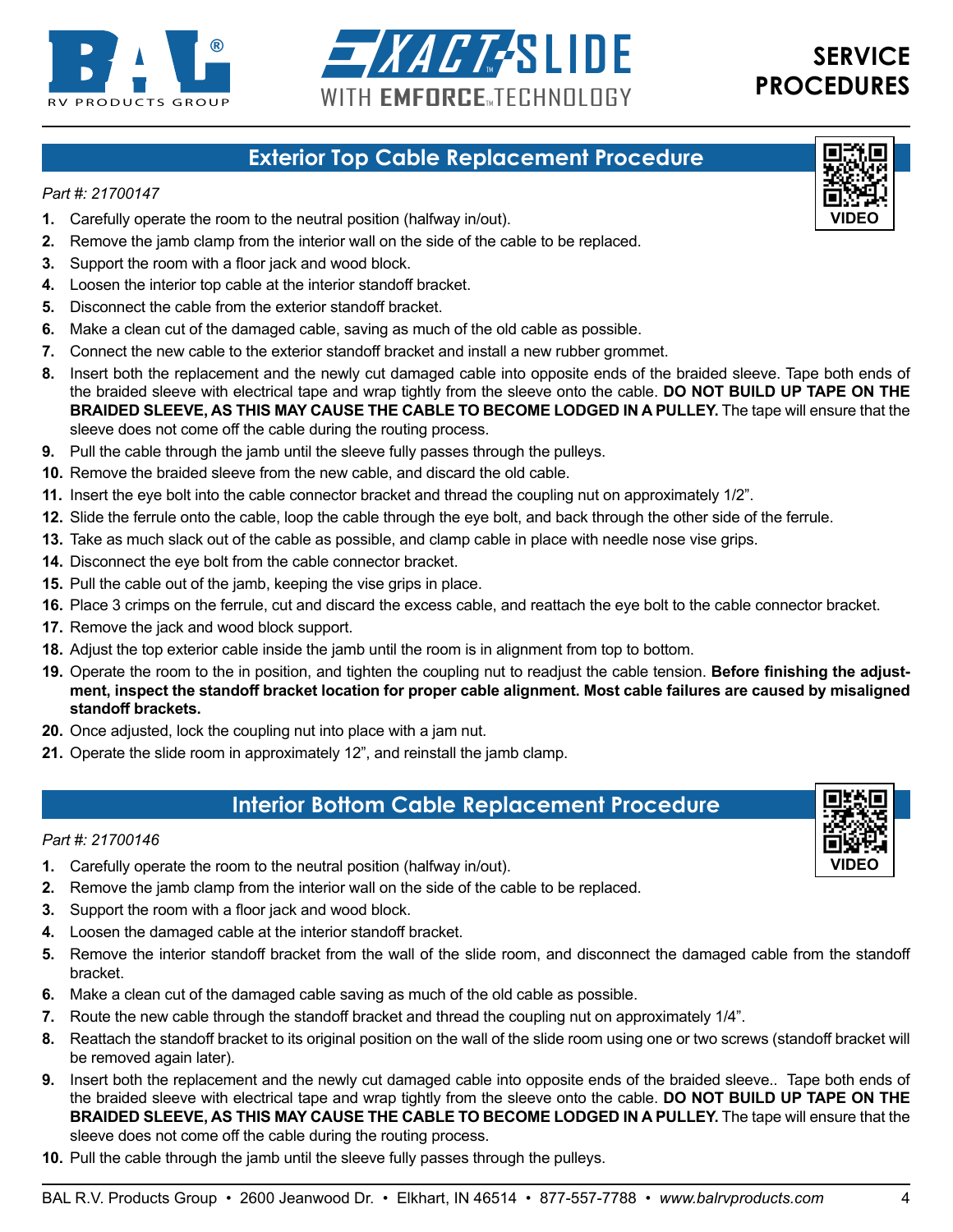<span id="page-3-0"></span>



## **Exterior Top Cable Replacement Procedure**

#### *Part #: 21700147*

- **1.** Carefully operate the room to the neutral position (halfway in/out).
- **2.** Remove the jamb clamp from the interior wall on the side of the cable to be replaced.
- **3.** Support the room with a floor jack and wood block.
- **4.** Loosen the interior top cable at the interior standoff bracket.
- **5.** Disconnect the cable from the exterior standoff bracket.
- **6.** Make a clean cut of the damaged cable, saving as much of the old cable as possible.
- **7.** Connect the new cable to the exterior standoff bracket and install a new rubber grommet.
- **8.** Insert both the replacement and the newly cut damaged cable into opposite ends of the braided sleeve. Tape both ends of the braided sleeve with electrical tape and wrap tightly from the sleeve onto the cable. **DO NOT BUILD UP TAPE ON THE BRAIDED SLEEVE, AS THIS MAY CAUSE THE CABLE TO BECOME LODGED IN A PULLEY.** The tape will ensure that the sleeve does not come off the cable during the routing process.
- **9.** Pull the cable through the jamb until the sleeve fully passes through the pulleys.
- **10.** Remove the braided sleeve from the new cable, and discard the old cable.
- **11.** Insert the eye bolt into the cable connector bracket and thread the coupling nut on approximately 1/2".
- **12.** Slide the ferrule onto the cable, loop the cable through the eye bolt, and back through the other side of the ferrule.
- **13.** Take as much slack out of the cable as possible, and clamp cable in place with needle nose vise grips.
- **14.** Disconnect the eye bolt from the cable connector bracket.
- **15.** Pull the cable out of the jamb, keeping the vise grips in place.
- **16.** Place 3 crimps on the ferrule, cut and discard the excess cable, and reattach the eye bolt to the cable connector bracket.
- **17.** Remove the jack and wood block support.
- **18.** Adjust the top exterior cable inside the jamb until the room is in alignment from top to bottom.
- **19.** Operate the room to the in position, and tighten the coupling nut to readjust the cable tension. **Before finishing the adjustment, inspect the standoff bracket location for proper cable alignment. Most cable failures are caused by misaligned standoff brackets.**
- **20.** Once adjusted, lock the coupling nut into place with a jam nut.
- **21.** Operate the slide room in approximately 12", and reinstall the jamb clamp.

### **Interior Bottom Cable Replacement Procedure**

#### *Part #: 21700146*

- **1.** Carefully operate the room to the neutral position (halfway in/out).
- **2.** Remove the jamb clamp from the interior wall on the side of the cable to be replaced.
- **3.** Support the room with a floor jack and wood block.
- **4.** Loosen the damaged cable at the interior standoff bracket.
- **5.** Remove the interior standoff bracket from the wall of the slide room, and disconnect the damaged cable from the standoff bracket.
- **6.** Make a clean cut of the damaged cable saving as much of the old cable as possible.
- **7.** Route the new cable through the standoff bracket and thread the coupling nut on approximately 1/4".
- **8.** Reattach the standoff bracket to its original position on the wall of the slide room using one or two screws (standoff bracket will be removed again later).
- **9.** Insert both the replacement and the newly cut damaged cable into opposite ends of the braided sleeve.. Tape both ends of the braided sleeve with electrical tape and wrap tightly from the sleeve onto the cable. **DO NOT BUILD UP TAPE ON THE BRAIDED SLEEVE, AS THIS MAY CAUSE THE CABLE TO BECOME LODGED IN A PULLEY.** The tape will ensure that the sleeve does not come off the cable during the routing process.
- **10.** Pull the cable through the jamb until the sleeve fully passes through the pulleys.
- BAL R.V. Products Group 2600 Jeanwood Dr. Elkhart, IN 46514 877-557-7788 *www.balrvproducts.com* 4



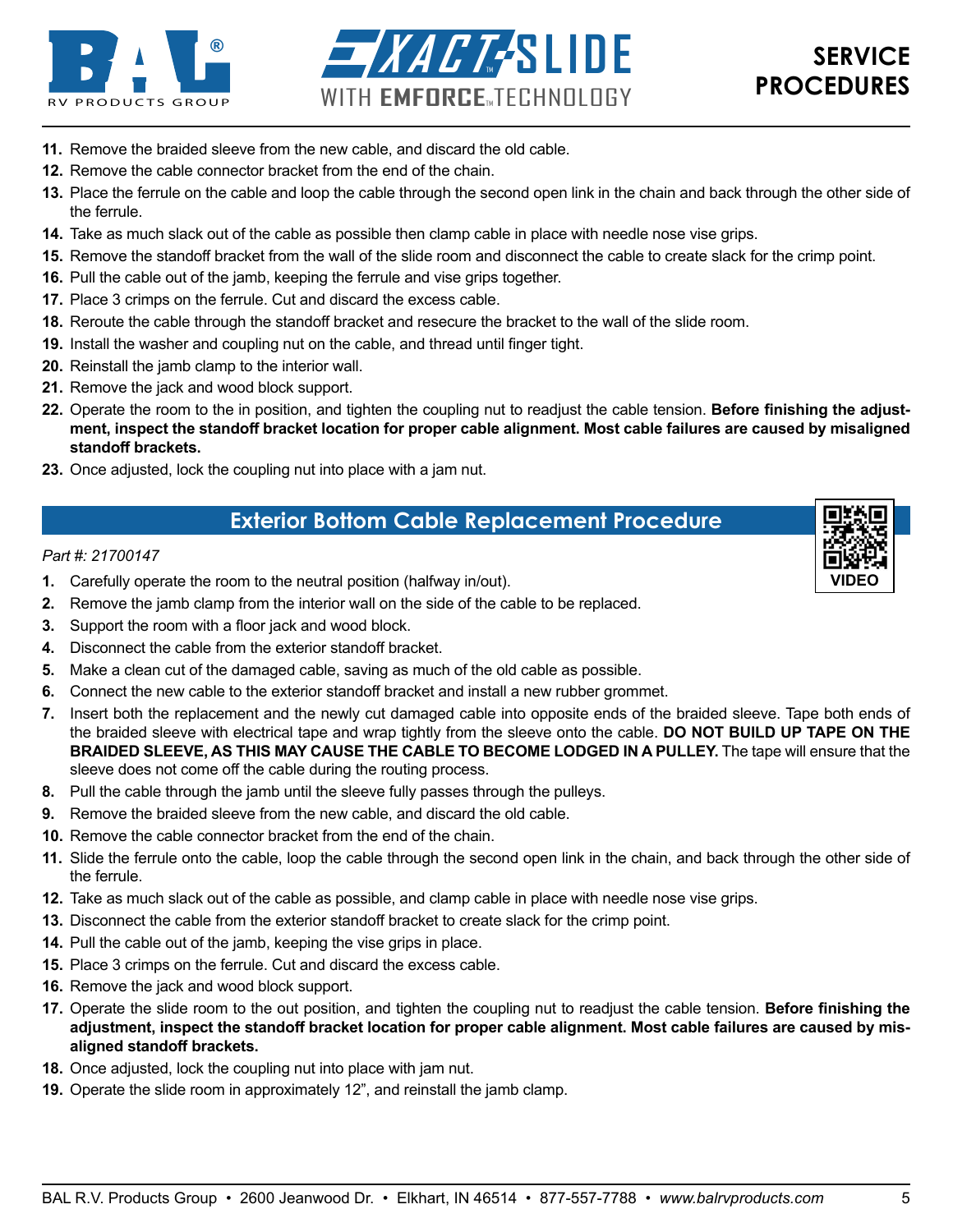<span id="page-4-0"></span>



- **11.** Remove the braided sleeve from the new cable, and discard the old cable.
- **12.** Remove the cable connector bracket from the end of the chain.
- **13.** Place the ferrule on the cable and loop the cable through the second open link in the chain and back through the other side of the ferrule.
- **14.** Take as much slack out of the cable as possible then clamp cable in place with needle nose vise grips.
- **15.** Remove the standoff bracket from the wall of the slide room and disconnect the cable to create slack for the crimp point.
- **16.** Pull the cable out of the jamb, keeping the ferrule and vise grips together.
- **17.** Place 3 crimps on the ferrule. Cut and discard the excess cable.
- **18.** Reroute the cable through the standoff bracket and resecure the bracket to the wall of the slide room.
- **19.** Install the washer and coupling nut on the cable, and thread until finger tight.
- **20.** Reinstall the jamb clamp to the interior wall.
- **21.** Remove the jack and wood block support.
- **22.** Operate the room to the in position, and tighten the coupling nut to readjust the cable tension. **Before finishing the adjustment, inspect the standoff bracket location for proper cable alignment. Most cable failures are caused by misaligned standoff brackets.**
- **23.** Once adjusted, lock the coupling nut into place with a jam nut.

## **Exterior Bottom Cable Replacement Procedure**

#### *Part #: 21700147*

- **1.** Carefully operate the room to the neutral position (halfway in/out).
- **2.** Remove the jamb clamp from the interior wall on the side of the cable to be replaced.
- **3.** Support the room with a floor jack and wood block.
- **4.** Disconnect the cable from the exterior standoff bracket.
- **5.** Make a clean cut of the damaged cable, saving as much of the old cable as possible.
- **6.** Connect the new cable to the exterior standoff bracket and install a new rubber grommet.
- **7.** Insert both the replacement and the newly cut damaged cable into opposite ends of the braided sleeve. Tape both ends of the braided sleeve with electrical tape and wrap tightly from the sleeve onto the cable. **DO NOT BUILD UP TAPE ON THE BRAIDED SLEEVE, AS THIS MAY CAUSE THE CABLE TO BECOME LODGED IN A PULLEY.** The tape will ensure that the sleeve does not come off the cable during the routing process.
- **8.** Pull the cable through the jamb until the sleeve fully passes through the pulleys.
- **9.** Remove the braided sleeve from the new cable, and discard the old cable.
- **10.** Remove the cable connector bracket from the end of the chain.
- **11.** Slide the ferrule onto the cable, loop the cable through the second open link in the chain, and back through the other side of the ferrule.
- **12.** Take as much slack out of the cable as possible, and clamp cable in place with needle nose vise grips.
- **13.** Disconnect the cable from the exterior standoff bracket to create slack for the crimp point.
- **14.** Pull the cable out of the jamb, keeping the vise grips in place.
- **15.** Place 3 crimps on the ferrule. Cut and discard the excess cable.
- **16.** Remove the jack and wood block support.
- **17.** Operate the slide room to the out position, and tighten the coupling nut to readjust the cable tension. **Before finishing the adjustment, inspect the standoff bracket location for proper cable alignment. Most cable failures are caused by misaligned standoff brackets.**
- **18.** Once adjusted, lock the coupling nut into place with jam nut.
- **19.** Operate the slide room in approximately 12", and reinstall the jamb clamp.

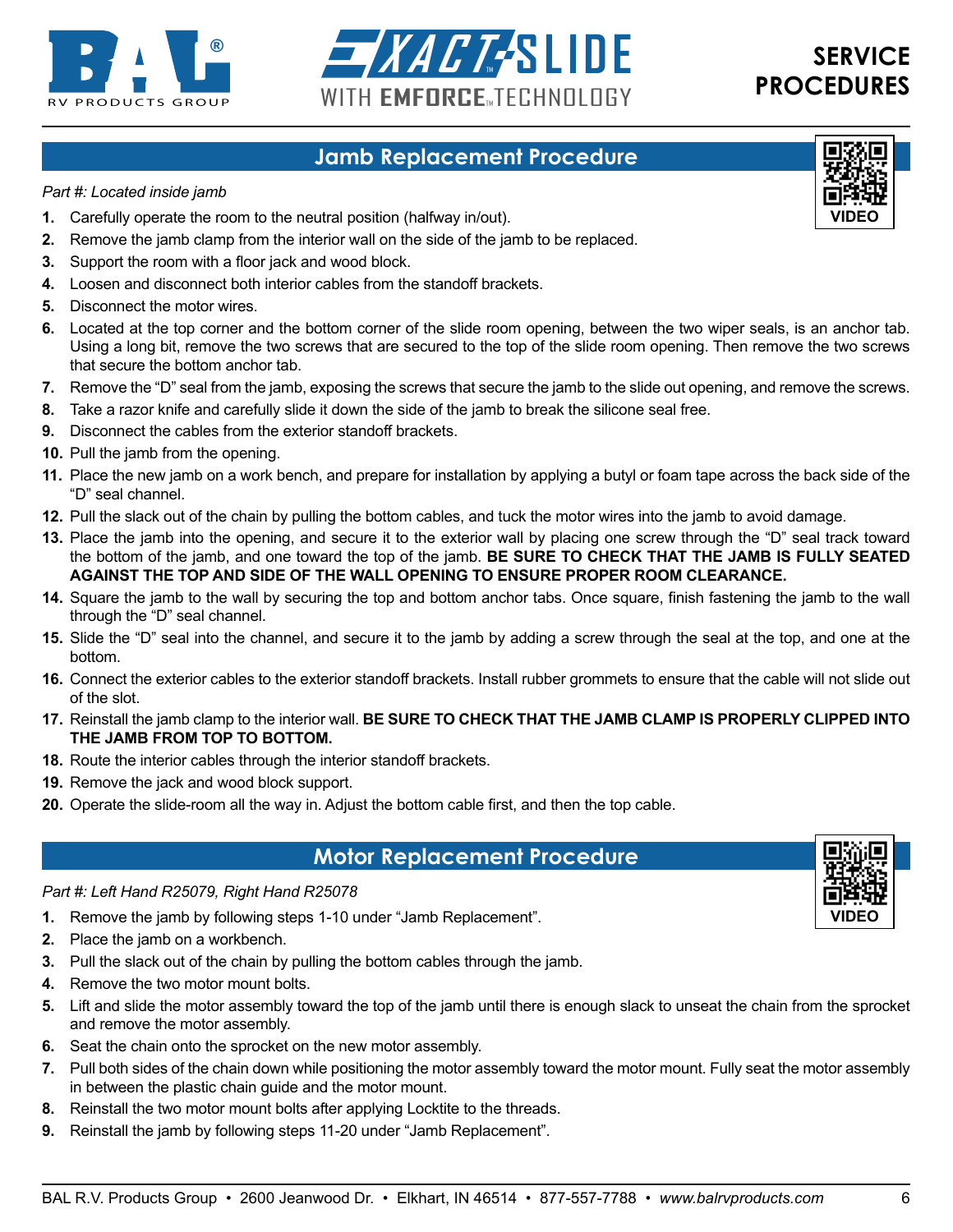<span id="page-5-0"></span>



## **Jamb Replacement Procedure**

#### *Part #: Located inside jamb*

- **1.** Carefully operate the room to the neutral position (halfway in/out).
- **2.** Remove the jamb clamp from the interior wall on the side of the jamb to be replaced.
- **3.** Support the room with a floor jack and wood block.
- **4.** Loosen and disconnect both interior cables from the standoff brackets.
- **5.** Disconnect the motor wires.
- **6.** Located at the top corner and the bottom corner of the slide room opening, between the two wiper seals, is an anchor tab. Using a long bit, remove the two screws that are secured to the top of the slide room opening. Then remove the two screws that secure the bottom anchor tab.
- **7.** Remove the "D" seal from the jamb, exposing the screws that secure the jamb to the slide out opening, and remove the screws.
- **8.** Take a razor knife and carefully slide it down the side of the jamb to break the silicone seal free.
- **9.** Disconnect the cables from the exterior standoff brackets.
- **10.** Pull the jamb from the opening.
- **11.** Place the new jamb on a work bench, and prepare for installation by applying a butyl or foam tape across the back side of the "D" seal channel.
- **12.** Pull the slack out of the chain by pulling the bottom cables, and tuck the motor wires into the jamb to avoid damage.
- **13.** Place the jamb into the opening, and secure it to the exterior wall by placing one screw through the "D" seal track toward the bottom of the jamb, and one toward the top of the jamb. **BE SURE TO CHECK THAT THE JAMB IS FULLY SEATED AGAINST THE TOP AND SIDE OF THE WALL OPENING TO ENSURE PROPER ROOM CLEARANCE.**
- **14.** Square the jamb to the wall by securing the top and bottom anchor tabs. Once square, finish fastening the jamb to the wall through the "D" seal channel.
- **15.** Slide the "D" seal into the channel, and secure it to the jamb by adding a screw through the seal at the top, and one at the bottom.
- **16.** Connect the exterior cables to the exterior standoff brackets. Install rubber grommets to ensure that the cable will not slide out of the slot.
- **17.** Reinstall the jamb clamp to the interior wall. **BE SURE TO CHECK THAT THE JAMB CLAMP IS PROPERLY CLIPPED INTO THE JAMB FROM TOP TO BOTTOM.**
- **18.** Route the interior cables through the interior standoff brackets.
- **19.** Remove the jack and wood block support.
- **20.** Operate the slide-room all the way in. Adjust the bottom cable first, and then the top cable.

### **Motor Replacement Procedure**

#### *Part #: Left Hand R25079, Right Hand R25078*

- **1.** Remove the jamb by following steps 1-10 under "Jamb Replacement".
- **2.** Place the jamb on a workbench.
- **3.** Pull the slack out of the chain by pulling the bottom cables through the jamb.
- **4.** Remove the two motor mount bolts.
- **5.** Lift and slide the motor assembly toward the top of the jamb until there is enough slack to unseat the chain from the sprocket and remove the motor assembly.
- **6.** Seat the chain onto the sprocket on the new motor assembly.
- **7.** Pull both sides of the chain down while positioning the motor assembly toward the motor mount. Fully seat the motor assembly in between the plastic chain guide and the motor mount.
- **8.** Reinstall the two motor mount bolts after applying Locktite to the threads.
- **9.** Reinstall the jamb by following steps 11-20 under "Jamb Replacement".



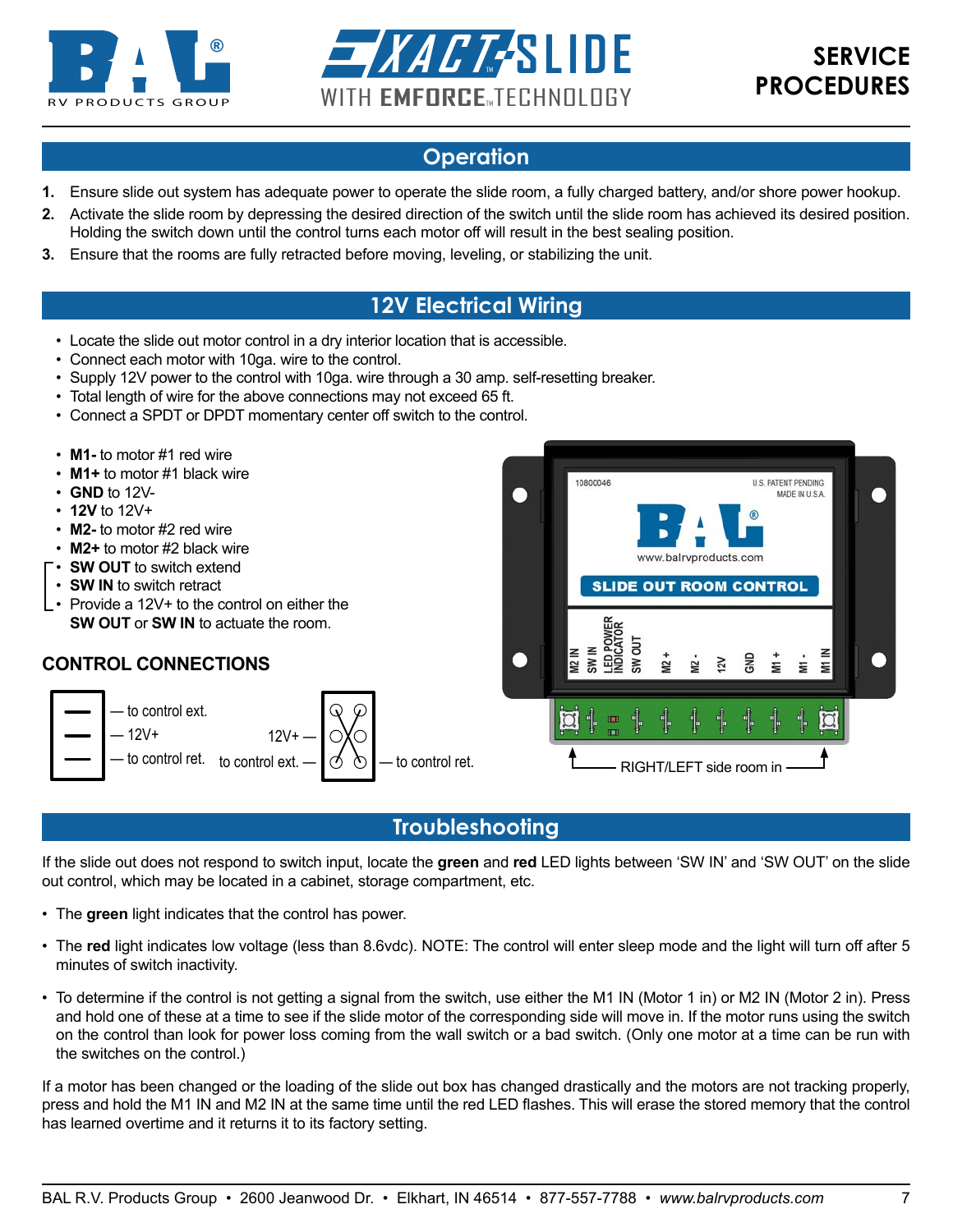<span id="page-6-0"></span>



## **Operation**

- **1.** Ensure slide out system has adequate power to operate the slide room, a fully charged battery, and/or shore power hookup.
- **2.** Activate the slide room by depressing the desired direction of the switch until the slide room has achieved its desired position. Holding the switch down until the control turns each motor off will result in the best sealing position.
- **3.** Ensure that the rooms are fully retracted before moving, leveling, or stabilizing the unit.

## **12V Electrical Wiring**

- Locate the slide out motor control in a dry interior location that is accessible.
- Connect each motor with 10ga. wire to the control.
- Supply 12V power to the control with 10ga. wire through a 30 amp. self-resetting breaker.
- Total length of wire for the above connections may not exceed 65 ft.
- Connect a SPDT or DPDT momentary center off switch to the control.

#### • **M1-** to motor #1 red wire

- **M1+** to motor #1 black wire
- **GND** to 12V-
- **12V** to 12V+
- **M2-** to motor #2 red wire
- **M2+** to motor #2 black wire
- **SW OUT** to switch extend
- **SW IN** to switch retract
- Provide a 12V+ to the control on either the **SW OUT** or **SW IN** to actuate the room.

#### **CONTROL CONNECTIONS**





### **Troubleshooting**

If the slide out does not respond to switch input, locate the **green** and **red** LED lights between 'SW IN' and 'SW OUT' on the slide out control, which may be located in a cabinet, storage compartment, etc.

- The green light indicates that the control has power.
- The **red** light indicates low voltage (less than 8.6vdc). NOTE: The control will enter sleep mode and the light will turn off after 5  $\tau$ minutes of switch inactivity.
	- To determine if the control is not getting a signal from the switch, use either the M1 IN (Motor 1 in) or M2 IN (Motor 2 in). Press and hold one of these at a time to see if the slide motor of the corresponding side will move in. If the motor runs using the switch on the control than look for power loss coming from the wall switch or a bad switch. (Only one motor at a time can be run with the switches on the control.)

If a motor has been changed or the loading of the slide out box has changed drastically and the motors are not tracking properly, press and hold the M1 IN and M2 IN at the same time until the red LED flashes. This will erase the stored memory that the control has learned overtime and it returns it to its factory setting.